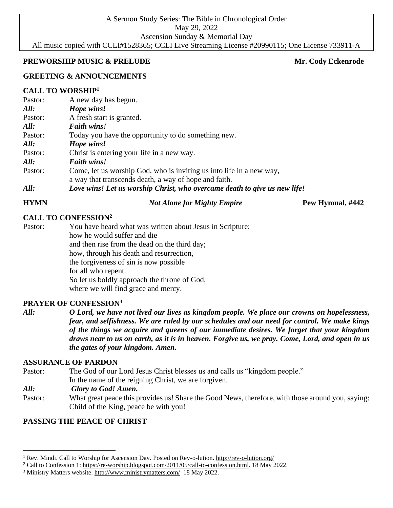A Sermon Study Series: The Bible in Chronological Order May 29, 2022 Ascension Sunday & Memorial Day All music copied with CCLI#1528365; CCLI Live Streaming License #20990115; One License 733911-A

### **PREWORSHIP MUSIC & PRELUDE Mr. Cody Eckenrode** Mr. Cody Eckenrode

# **GREETING & ANNOUNCEMENTS**

# **CALL TO WORSHIP<sup>1</sup>**

| Pastor: | A new day has begun.                                                      |
|---------|---------------------------------------------------------------------------|
| All:    | Hope wins!                                                                |
| Pastor: | A fresh start is granted.                                                 |
| All:    | <b>Faith wins!</b>                                                        |
| Pastor: | Today you have the opportunity to do something new.                       |
| All:    | Hope wins!                                                                |
| Pastor: | Christ is entering your life in a new way.                                |
| All:    | <b>Faith wins!</b>                                                        |
| Pastor: | Come, let us worship God, who is inviting us into life in a new way,      |
|         | a way that transcends death, a way of hope and faith.                     |
| All:    | Love wins! Let us worship Christ, who overcame death to give us new life! |
|         |                                                                           |

#### **HYMN** *Not Alone for Mighty Empire* **Pew Hymnal, #442**

# **CALL TO CONFESSION<sup>2</sup>**

Pastor: You have heard what was written about Jesus in Scripture: how he would suffer and die and then rise from the dead on the third day; how, through his death and resurrection, the forgiveness of sin is now possible for all who repent. So let us boldly approach the throne of God, where we will find grace and mercy.

### **PRAYER OF CONFESSION<sup>3</sup>**

*All: O Lord, we have not lived our lives as kingdom people. We place our crowns on hopelessness, fear, and selfishness. We are ruled by our schedules and our need for control. We make kings of the things we acquire and queens of our immediate desires. We forget that your kingdom draws near to us on earth, as it is in heaven. Forgive us, we pray. Come, Lord, and open in us the gates of your kingdom. Amen.*

# **ASSURANCE OF PARDON**

Pastor: The God of our Lord Jesus Christ blesses us and calls us "kingdom people."

In the name of the reigning Christ, we are forgiven.

#### *All: Glory to God! Amen.*

Pastor: What great peace this provides us! Share the Good News, therefore, with those around you, saying: Child of the King, peace be with you!

# **PASSING THE PEACE OF CHRIST**

<sup>&</sup>lt;sup>1</sup> Rev. Mindi. Call to Worship for Ascension Day. Posted on Rev-o-lution. <http://rev-o-lution.org/>

<sup>2</sup> Call to Confession 1: [https://re-worship.blogspot.com/2011/05/call-to-confession.html.](https://re-worship.blogspot.com/2011/05/call-to-confession.html) 18 May 2022.

<sup>&</sup>lt;sup>3</sup> Ministry Matters website. <http://www.ministrymatters.com/>18 May 2022.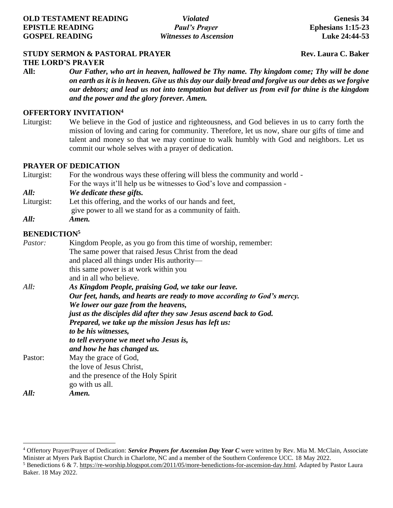# **STUDY SERMON & PASTORAL PRAYER Rev. Laura C. Baker**

**THE LORD'S PRAYER**

**All:** *Our Father, who art in heaven, hallowed be Thy name. Thy kingdom come; Thy will be done on earth as it is in heaven. Give us this day our daily bread and forgive us our debts as we forgive our debtors; and lead us not into temptation but deliver us from evil for thine is the kingdom and the power and the glory forever. Amen.*

#### **OFFERTORY INVITATION<sup>4</sup>**

Liturgist: We believe in the God of justice and righteousness, and God believes in us to carry forth the mission of loving and caring for community. Therefore, let us now, share our gifts of time and talent and money so that we may continue to walk humbly with God and neighbors. Let us commit our whole selves with a prayer of dedication.

#### **PRAYER OF DEDICATION**

- Liturgist: For the wondrous ways these offering will bless the community and world For the ways it'll help us be witnesses to God's love and compassion -
- *All: We dedicate these gifts.*
- Liturgist: Let this offering, and the works of our hands and feet, give power to all we stand for as a community of faith.
- *All: Amen.*

# **BENEDICTION<sup>5</sup>**

| <i>Pastor:</i> | Kingdom People, as you go from this time of worship, remember:          |
|----------------|-------------------------------------------------------------------------|
|                | The same power that raised Jesus Christ from the dead                   |
|                | and placed all things under His authority—                              |
|                | this same power is at work within you                                   |
|                | and in all who believe.                                                 |
| All:           | As Kingdom People, praising God, we take our leave.                     |
|                | Our feet, hands, and hearts are ready to move according to God's mercy. |
|                | We lower our gaze from the heavens,                                     |
|                | just as the disciples did after they saw Jesus ascend back to God.      |
|                | Prepared, we take up the mission Jesus has left us:                     |
|                | to be his witnesses,                                                    |
|                | to tell everyone we meet who Jesus is,                                  |
|                | and how he has changed us.                                              |
| Pastor:        | May the grace of God,                                                   |
|                | the love of Jesus Christ,                                               |
|                | and the presence of the Holy Spirit                                     |
|                | go with us all.                                                         |
| All:           | Amen.                                                                   |

<sup>4</sup> Offertory Prayer/Prayer of Dedication: *Service Prayers for Ascension Day Year C* were written by Rev. Mia M. McClain, Associate Minister at Myers Park Baptist Church in Charlotte, NC and a member of the Southern Conference UCC. 18 May 2022. <sup>5</sup> Benedictions 6 & 7. [https://re-worship.blogspot.com/2011/05/more-benedictions-for-ascension-day.html.](https://re-worship.blogspot.com/2011/05/more-benedictions-for-ascension-day.html) Adapted by Pastor Laura Baker. 18 May 2022.